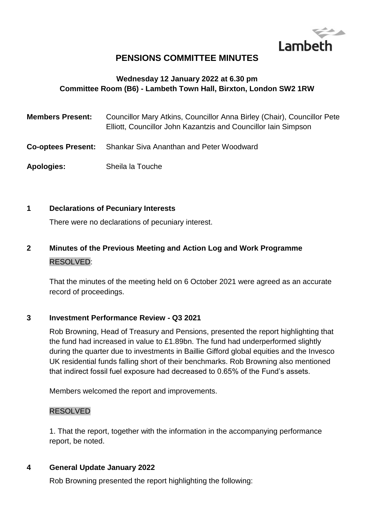

# **PENSIONS COMMITTEE MINUTES**

## **Wednesday 12 January 2022 at 6.30 pm Committee Room (B6) - Lambeth Town Hall, Birxton, London SW2 1RW**

| <b>Members Present:</b>   | Councillor Mary Atkins, Councillor Anna Birley (Chair), Councillor Pete<br>Elliott, Councillor John Kazantzis and Councillor Iain Simpson |
|---------------------------|-------------------------------------------------------------------------------------------------------------------------------------------|
| <b>Co-optees Present:</b> | <b>Shankar Siva Ananthan and Peter Woodward</b>                                                                                           |
| <b>Apologies:</b>         | Sheila la Touche                                                                                                                          |

#### **1 Declarations of Pecuniary Interests**

There were no declarations of pecuniary interest.

# **2 Minutes of the Previous Meeting and Action Log and Work Programme** RESOLVED:

That the minutes of the meeting held on 6 October 2021 were agreed as an accurate record of proceedings.

#### **3 Investment Performance Review - Q3 2021**

Rob Browning, Head of Treasury and Pensions, presented the report highlighting that the fund had increased in value to £1.89bn. The fund had underperformed slightly during the quarter due to investments in Baillie Gifford global equities and the Invesco UK residential funds falling short of their benchmarks. Rob Browning also mentioned that indirect fossil fuel exposure had decreased to 0.65% of the Fund's assets.

Members welcomed the report and improvements.

#### RESOLVED

1. That the report, together with the information in the accompanying performance report, be noted.

#### **4 General Update January 2022**

Rob Browning presented the report highlighting the following: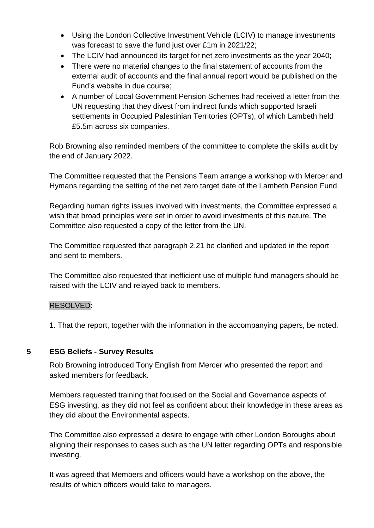- Using the London Collective Investment Vehicle (LCIV) to manage investments was forecast to save the fund just over £1m in 2021/22;
- The LCIV had announced its target for net zero investments as the year 2040;
- There were no material changes to the final statement of accounts from the external audit of accounts and the final annual report would be published on the Fund's website in due course;
- A number of Local Government Pension Schemes had received a letter from the UN requesting that they divest from indirect funds which supported Israeli settlements in Occupied Palestinian Territories (OPTs), of which Lambeth held £5.5m across six companies.

Rob Browning also reminded members of the committee to complete the skills audit by the end of January 2022.

The Committee requested that the Pensions Team arrange a workshop with Mercer and Hymans regarding the setting of the net zero target date of the Lambeth Pension Fund.

Regarding human rights issues involved with investments, the Committee expressed a wish that broad principles were set in order to avoid investments of this nature. The Committee also requested a copy of the letter from the UN.

The Committee requested that paragraph 2.21 be clarified and updated in the report and sent to members.

The Committee also requested that inefficient use of multiple fund managers should be raised with the LCIV and relayed back to members.

### RESOLVED:

1. That the report, together with the information in the accompanying papers, be noted.

### **5 ESG Beliefs - Survey Results**

Rob Browning introduced Tony English from Mercer who presented the report and asked members for feedback.

Members requested training that focused on the Social and Governance aspects of ESG investing, as they did not feel as confident about their knowledge in these areas as they did about the Environmental aspects.

The Committee also expressed a desire to engage with other London Boroughs about aligning their responses to cases such as the UN letter regarding OPTs and responsible investing.

It was agreed that Members and officers would have a workshop on the above, the results of which officers would take to managers.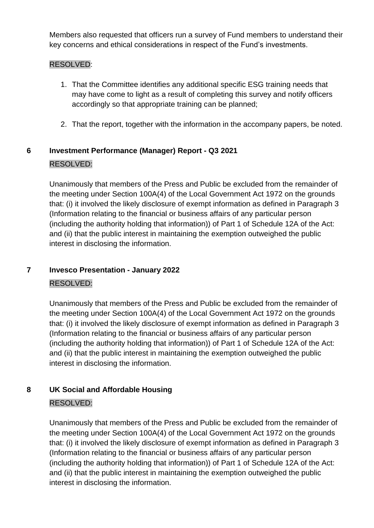Members also requested that officers run a survey of Fund members to understand their key concerns and ethical considerations in respect of the Fund's investments.

## RESOLVED:

- 1. That the Committee identifies any additional specific ESG training needs that may have come to light as a result of completing this survey and notify officers accordingly so that appropriate training can be planned;
- 2. That the report, together with the information in the accompany papers, be noted.

# **6 Investment Performance (Manager) Report - Q3 2021** RESOLVED:

Unanimously that members of the Press and Public be excluded from the remainder of the meeting under Section 100A(4) of the Local Government Act 1972 on the grounds that: (i) it involved the likely disclosure of exempt information as defined in Paragraph 3 (Information relating to the financial or business affairs of any particular person (including the authority holding that information)) of Part 1 of Schedule 12A of the Act: and (ii) that the public interest in maintaining the exemption outweighed the public interest in disclosing the information.

# **7 Invesco Presentation - January 2022**

### RESOLVED:

Unanimously that members of the Press and Public be excluded from the remainder of the meeting under Section 100A(4) of the Local Government Act 1972 on the grounds that: (i) it involved the likely disclosure of exempt information as defined in Paragraph 3 (Information relating to the financial or business affairs of any particular person (including the authority holding that information)) of Part 1 of Schedule 12A of the Act: and (ii) that the public interest in maintaining the exemption outweighed the public interest in disclosing the information.

# **8 UK Social and Affordable Housing**

# RESOLVED:

Unanimously that members of the Press and Public be excluded from the remainder of the meeting under Section 100A(4) of the Local Government Act 1972 on the grounds that: (i) it involved the likely disclosure of exempt information as defined in Paragraph 3 (Information relating to the financial or business affairs of any particular person (including the authority holding that information)) of Part 1 of Schedule 12A of the Act: and (ii) that the public interest in maintaining the exemption outweighed the public interest in disclosing the information.